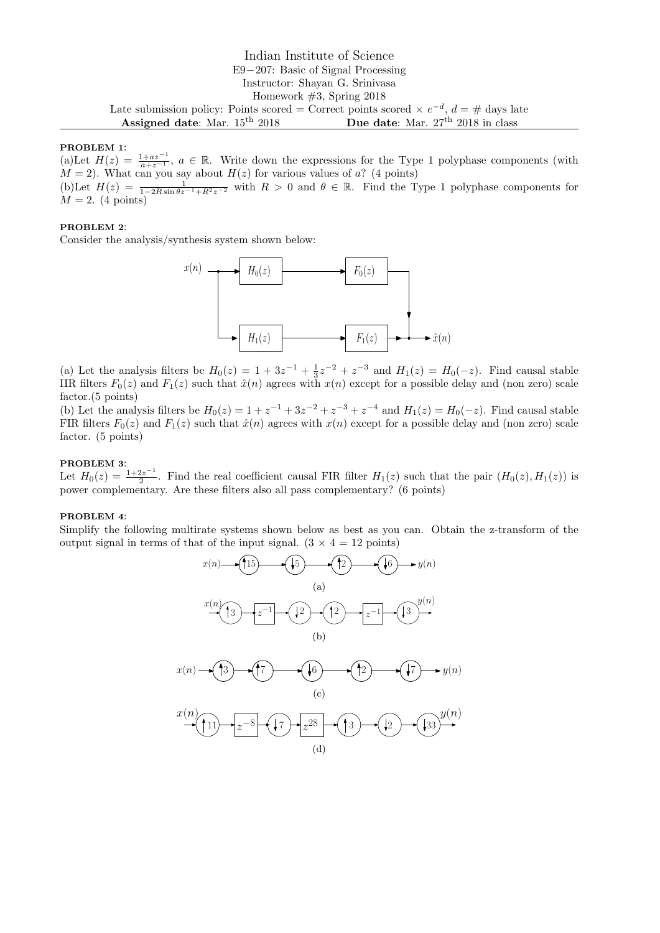# Indian Institute of Science E9−207: Basic of Signal Processing Instructor: Shayan G. Srinivasa Homework #3, Spring 2018 Late submission policy: Points scored = Correct points scored  $\times e^{-d}$ ,  $d = #$  days late Assigned date: Mar. 15<sup>th</sup> 2018 Due date: Mar. 27<sup>th</sup> 2018 in class

#### PROBLEM 1:

(a)Let  $H(z) = \frac{1+az^{-1}}{a+z^{-1}}$ ,  $a \in \mathbb{R}$ . Write down the expressions for the Type 1 polyphase components (with  $M = 2$ ). What can you say about  $H(z)$  for various values of a? (4 points)

(b)Let  $H(z) = \frac{1}{1-2R\sin\theta z^{-1}+R^2z^{-2}}$  with  $R > 0$  and  $\theta \in \mathbb{R}$ . Find the Type 1 polyphase components for  $M = 2.$  (4 points)

## PROBLEM 2:

Consider the analysis/synthesis system shown below:



(a) Let the analysis filters be  $H_0(z) = 1 + 3z^{-1} + \frac{1}{3}z^{-2} + z^{-3}$  and  $H_1(z) = H_0(-z)$ . Find causal stable IIR filters  $F_0(z)$  and  $F_1(z)$  such that  $\hat{x}(n)$  agrees with  $x(n)$  except for a possible delay and (non zero) scale factor.(5 points)

(b) Let the analysis filters be  $H_0(z) = 1 + z^{-1} + 3z^{-2} + z^{-3} + z^{-4}$  and  $H_1(z) = H_0(-z)$ . Find causal stable FIR filters  $F_0(z)$  and  $F_1(z)$  such that  $\hat{x}(n)$  agrees with  $x(n)$  except for a possible delay and (non zero) scale factor. (5 points)

## PROBLEM 3:

Let  $H_0(z) = \frac{1+2z^{-1}}{2}$  $\frac{2z}{2}$ . Find the real coefficient causal FIR filter  $H_1(z)$  such that the pair  $(H_0(z), H_1(z))$  is power complementary. Are these filters also all pass complementary? (6 points)

### PROBLEM 4:

Simplify the following multirate systems shown below as best as you can. Obtain the z-transform of the output signal in terms of that of the input signal.  $(3 \times 4 = 12 \text{ points})$